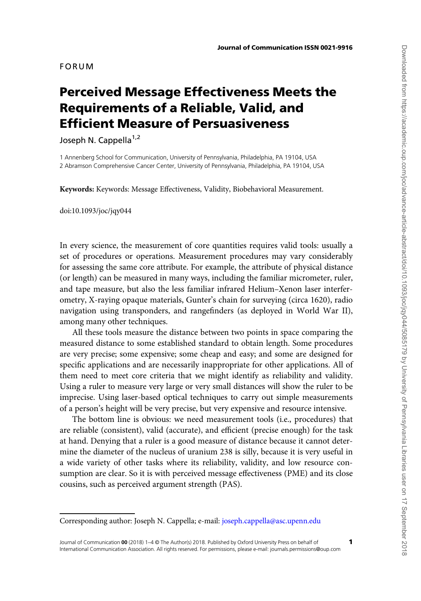# FORUM

# Perceived Message Effectiveness Meets the Requirements of a Reliable, Valid, and Efficient Measure of Persuasiveness

Joseph N. Cappella<sup>1,2</sup>

1 Annenberg School for Communication, University of Pennsylvania, Philadelphia, PA 19104, USA 2 Abramson Comprehensive Cancer Center, University of Pennsylvania, Philadelphia, PA 19104, USA

Keywords: Keywords: Message Effectiveness, Validity, Biobehavioral Measurement.

doi:10.1093/joc/jqy044

In every science, the measurement of core quantities requires valid tools: usually a set of procedures or operations. Measurement procedures may vary considerably for assessing the same core attribute. For example, the attribute of physical distance (or length) can be measured in many ways, including the familiar micrometer, ruler, and tape measure, but also the less familiar infrared Helium–Xenon laser interferometry, X-raying opaque materials, Gunter's chain for surveying (circa 1620), radio navigation using transponders, and rangefinders (as deployed in World War II), among many other techniques.

All these tools measure the distance between two points in space comparing the measured distance to some established standard to obtain length. Some procedures are very precise; some expensive; some cheap and easy; and some are designed for specific applications and are necessarily inappropriate for other applications. All of them need to meet core criteria that we might identify as reliability and validity. Using a ruler to measure very large or very small distances will show the ruler to be imprecise. Using laser-based optical techniques to carry out simple measurements of a person's height will be very precise, but very expensive and resource intensive.

The bottom line is obvious: we need measurement tools (i.e., procedures) that are reliable (consistent), valid (accurate), and efficient (precise enough) for the task at hand. Denying that a ruler is a good measure of distance because it cannot determine the diameter of the nucleus of uranium 238 is silly, because it is very useful in a wide variety of other tasks where its reliability, validity, and low resource consumption are clear. So it is with perceived message effectiveness (PME) and its close cousins, such as perceived argument strength (PAS).

Corresponding author: Joseph N. Cappella; e-mail: [joseph.cappella@asc.upenn.edu](mailto: joseph.cappella@asc.upenn.edu)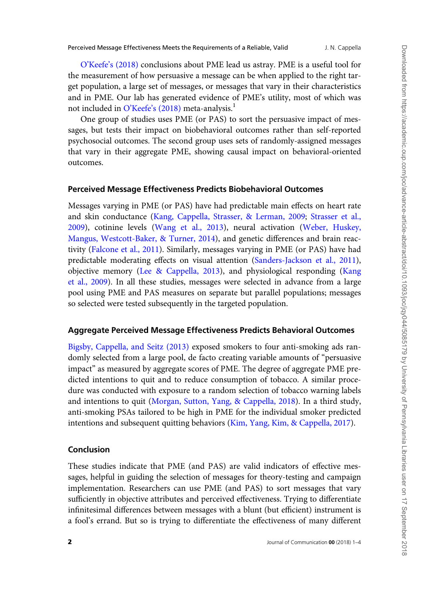O'Keefe'[s \(2018\)](#page-2-0) conclusions about PME lead us astray. PME is a useful tool for the measurement of how persuasive a message can be when applied to the right target population, a large set of messages, or messages that vary in their characteristics and in PME. Our lab has generated evidence of PME's utility, most of which was not included in  $O'$ Keefe'[s \(2018\)](#page-2-0) meta-analysis.<sup>1</sup>

One group of studies uses PME (or PAS) to sort the persuasive impact of messages, but tests their impact on biobehavioral outcomes rather than self-reported psychosocial outcomes. The second group uses sets of randomly-assigned messages that vary in their aggregate PME, showing causal impact on behavioral-oriented outcomes.

# Perceived Message Effectiveness Predicts Biobehavioral Outcomes

Messages varying in PME (or PAS) have had predictable main effects on heart rate and skin conductance [\(Kang, Cappella, Strasser, & Lerman, 2009;](#page-2-0) [Strasser et al.,](#page-3-0) [2009\)](#page-3-0), cotinine levels [\(Wang et al., 2013\)](#page-3-0), neural activation ([Weber, Huskey,](#page-3-0) [Mangus, Westcott-Baker, & Turner, 2014\)](#page-3-0), and genetic differences and brain reactivity ([Falcone et al., 2011\)](#page-2-0). Similarly, messages varying in PME (or PAS) have had predictable moderating effects on visual attention [\(Sanders-Jackson et al., 2011](#page-3-0)), objective memory ([Lee & Cappella, 2013\)](#page-2-0), and physiological responding ([Kang](#page-2-0) [et al., 2009](#page-2-0)). In all these studies, messages were selected in advance from a large pool using PME and PAS measures on separate but parallel populations; messages so selected were tested subsequently in the targeted population.

#### Aggregate Perceived Message Effectiveness Predicts Behavioral Outcomes

[Bigsby, Cappella, and Seitz \(2013\)](#page-2-0) exposed smokers to four anti-smoking ads randomly selected from a large pool, de facto creating variable amounts of "persuasive impact" as measured by aggregate scores of PME. The degree of aggregate PME predicted intentions to quit and to reduce consumption of tobacco. A similar procedure was conducted with exposure to a random selection of tobacco warning labels and intentions to quit ([Morgan, Sutton, Yang, & Cappella, 2018](#page-2-0)). In a third study, anti-smoking PSAs tailored to be high in PME for the individual smoker predicted intentions and subsequent quitting behaviors [\(Kim, Yang, Kim, & Cappella, 2017\)](#page-2-0).

#### Conclusion

These studies indicate that PME (and PAS) are valid indicators of effective messages, helpful in guiding the selection of messages for theory-testing and campaign implementation. Researchers can use PME (and PAS) to sort messages that vary sufficiently in objective attributes and perceived effectiveness. Trying to differentiate infinitesimal differences between messages with a blunt (but efficient) instrument is a fool's errand. But so is trying to differentiate the effectiveness of many different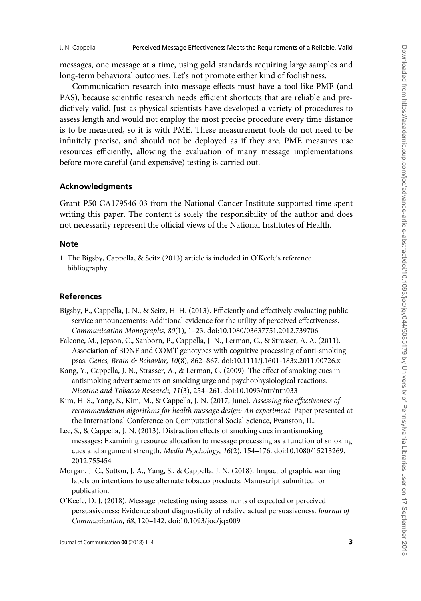<span id="page-2-0"></span>messages, one message at a time, using gold standards requiring large samples and long-term behavioral outcomes. Let's not promote either kind of foolishness.

Communication research into message effects must have a tool like PME (and PAS), because scientific research needs efficient shortcuts that are reliable and predictively valid. Just as physical scientists have developed a variety of procedures to assess length and would not employ the most precise procedure every time distance is to be measured, so it is with PME. These measurement tools do not need to be infinitely precise, and should not be deployed as if they are. PME measures use resources efficiently, allowing the evaluation of many message implementations before more careful (and expensive) testing is carried out.

### Acknowledgments

Grant P50 CA179546-03 from the National Cancer Institute supported time spent writing this paper. The content is solely the responsibility of the author and does not necessarily represent the official views of the National Institutes of Health.

#### Note

1 The Bigsby, Cappella, & Seitz (2013) article is included in O'Keefe's reference bibliography

#### References

- Bigsby, E., Cappella, J. N., & Seitz, H. H. (2013). Efficiently and effectively evaluating public service announcements: Additional evidence for the utility of perceived effectiveness. Communication Monographs, 80(1), 1–23. [doi:10.1080/03637751.2012.739706](http://dx.doi.org/10.1080/03637751.2012.739706)
- Falcone, M., Jepson, C., Sanborn, P., Cappella, J. N., Lerman, C., & Strasser, A. A. (2011). Association of BDNF and COMT genotypes with cognitive processing of anti‐smoking psas. Genes, Brain & Behavior, 10(8), 862–867. [doi:10.1111/j.1601-183x.2011.00726.x](http://dx.doi.org/10.1111/j.1601-183x.2011.00726.x)
- Kang, Y., Cappella, J. N., Strasser, A., & Lerman, C. (2009). The effect of smoking cues in antismoking advertisements on smoking urge and psychophysiological reactions. Nicotine and Tobacco Research, 11(3), 254–261. [doi:10.1093/ntr/ntn033](http://dx.doi.org/doi:10.1093/ntr/ntn033)
- Kim, H. S., Yang, S., Kim, M., & Cappella, J. N. (2017, June). Assessing the effectiveness of recommendation algorithms for health message design: An experiment. Paper presented at the International Conference on Computational Social Science, Evanston, IL.
- Lee, S., & Cappella, J. N. (2013). Distraction effects of smoking cues in antismoking messages: Examining resource allocation to message processing as a function of smoking cues and argument strength. Media Psychology, 16(2), 154–176. [doi:10.1080/15213269.](http://dx.doi.org/doi:10.1080/15213269.2012.755454) [2012.755454](http://dx.doi.org/doi:10.1080/15213269.2012.755454)
- Morgan, J. C., Sutton, J. A., Yang, S., & Cappella, J. N. (2018). Impact of graphic warning labels on intentions to use alternate tobacco products. Manuscript submitted for publication.
- O'Keefe, D. J. (2018). Message pretesting using assessments of expected or perceived persuasiveness: Evidence about diagnosticity of relative actual persuasiveness. Journal of Communication, 68, 120–142. [doi:10.1093/joc/jqx009](http://dx.doi.org/10.1093/joc/jqx009)